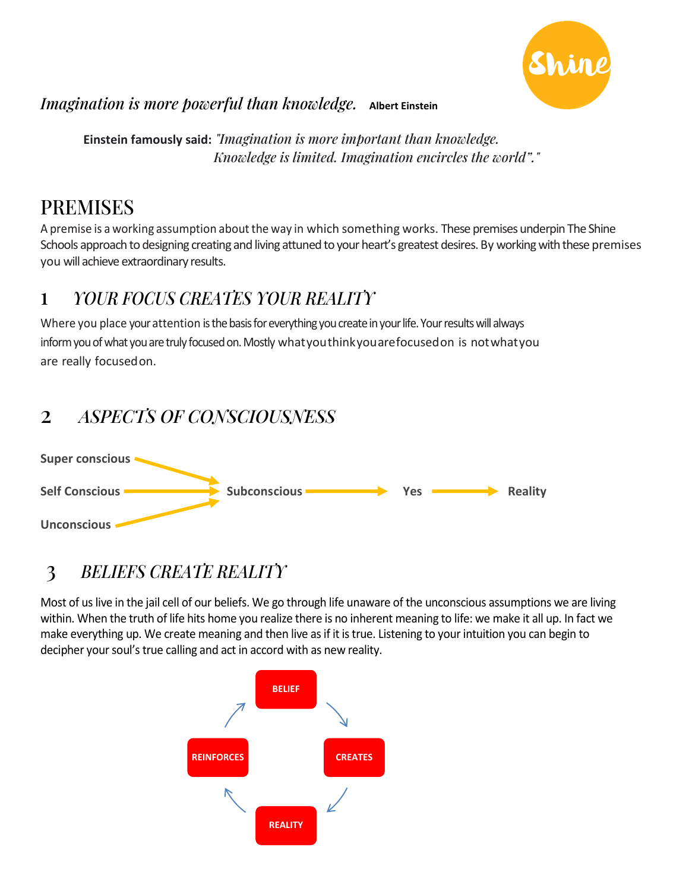

#### *Imagination is more powerful than knowledge.* **Albert Einstein**

 **Einstein famously said:** *"Imagination is more important than knowledge. Knowledge is limited. Imagination encircles the world"."*

### PREMISES

A premise is a working assumption about the way in which something works. These premises underpin The Shine Schools approach to designing creating and living attuned to your heart's greatest desires. By working with these premises you will achieve extraordinary results.

#### 1 *YOUR FOCUS CREATES YOUR REALITY*

Where you place your attention is the basis for everything you create in your life. Your results will always inform you of what you are truly focused on. Mostly whatyouthinkyouarefocusedon is notwhatyou are really focusedon.

#### 2 *ASPECTS OF CONSCIOUSNESS*



### 3 *BELIEFS CREATE REALITY*

Most of us live in the jail cell of our beliefs. We go through life unaware of the unconscious assumptions we are living within. When the truth of life hits home you realize there is no inherent meaning to life: we make it all up. In fact we make everything up. We create meaning and then live as if it is true. Listening to your intuition you can begin to decipher your soul's true calling and act in accord with as new reality.